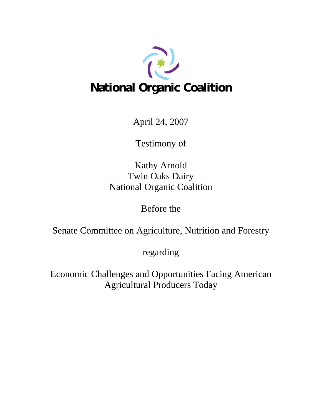

April 24, 2007

Testimony of

Kathy Arnold Twin Oaks Dairy National Organic Coalition

Before the

Senate Committee on Agriculture, Nutrition and Forestry

regarding

Economic Challenges and Opportunities Facing American Agricultural Producers Today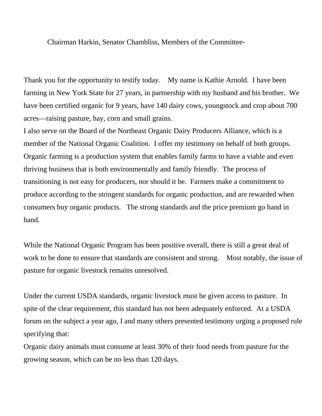Chairman Harkin, Senator Chambliss, Members of the Committee-

Thank you for the opportunity to testify today. My name is Kathie Arnold. I have been farming in New York State for 27 years, in partnership with my husband and his brother. We have been certified organic for 9 years, have 140 dairy cows, youngstock and crop about 700 acres—raising pasture, hay, corn and small grains.

I also serve on the Board of the Northeast Organic Dairy Producers Alliance, which is a member of the National Organic Coalition. I offer my testimony on behalf of both groups. Organic farming is a production system that enables family farms to have a viable and even thriving business that is both environmentally and family friendly. The process of transitioning is not easy for producers, nor should it be. Farmers make a commitment to produce according to the stringent standards for organic production, and are rewarded when consumers buy organic products. The strong standards and the price premium go hand in hand.

While the National Organic Program has been positive overall, there is still a great deal of work to be done to ensure that standards are consistent and strong. Most notably, the issue of pasture for organic livestock remains unresolved.

Under the current USDA standards, organic livestock must be given access to pasture. In spite of the clear requirement, this standard has not been adequately enforced. At a USDA forum on the subject a year ago, I and many others presented testimony urging a proposed rule specifying that:

Organic dairy animals must consume at least 30% of their food needs from pasture for the growing season, which can be no less than 120 days.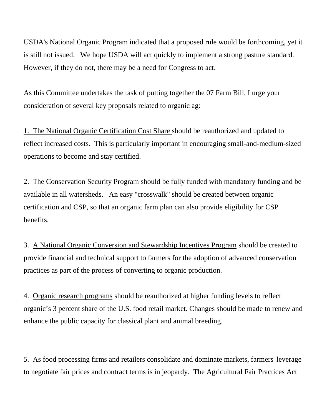USDA's National Organic Program indicated that a proposed rule would be forthcoming, yet it is still not issued. We hope USDA will act quickly to implement a strong pasture standard. However, if they do not, there may be a need for Congress to act.

As this Committee undertakes the task of putting together the 07 Farm Bill, I urge your consideration of several key proposals related to organic ag:

1. The National Organic Certification Cost Share should be reauthorized and updated to reflect increased costs. This is particularly important in encouraging small-and-medium-sized operations to become and stay certified.

2. The Conservation Security Program should be fully funded with mandatory funding and be available in all watersheds. An easy "crosswalk" should be created between organic certification and CSP, so that an organic farm plan can also provide eligibility for CSP benefits.

3. A National Organic Conversion and Stewardship Incentives Program should be created to provide financial and technical support to farmers for the adoption of advanced conservation practices as part of the process of converting to organic production.

4. Organic research programs should be reauthorized at higher funding levels to reflect organic's 3 percent share of the U.S. food retail market. Changes should be made to renew and enhance the public capacity for classical plant and animal breeding.

5. As food processing firms and retailers consolidate and dominate markets, farmers' leverage to negotiate fair prices and contract terms is in jeopardy. The Agricultural Fair Practices Act